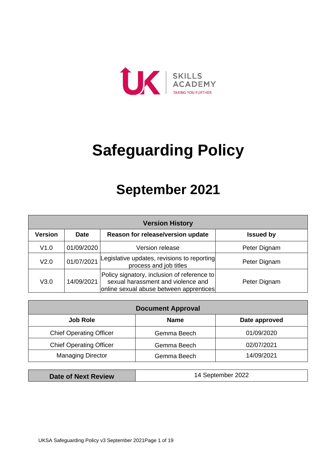

# **Safeguarding Policy**

## **September 2021**

| <b>Version History</b> |             |                                                                                                                              |                  |  |  |  |  |
|------------------------|-------------|------------------------------------------------------------------------------------------------------------------------------|------------------|--|--|--|--|
| <b>Version</b>         | <b>Date</b> | Reason for release/version update                                                                                            | <b>Issued by</b> |  |  |  |  |
| V1.0                   | 01/09/2020  | Version release                                                                                                              | Peter Dignam     |  |  |  |  |
| V2.0                   | 01/07/2021  | Legislative updates, revisions to reporting<br>process and job titles                                                        | Peter Dignam     |  |  |  |  |
| V3.0                   | 14/09/2021  | Policy signatory, inclusion of reference to<br>sexual harassment and violence and<br>online sexual abuse between apprentices | Peter Dignam     |  |  |  |  |

| <b>Document Approval</b>       |             |               |  |  |  |  |
|--------------------------------|-------------|---------------|--|--|--|--|
| <b>Job Role</b>                | <b>Name</b> | Date approved |  |  |  |  |
| <b>Chief Operating Officer</b> | Gemma Beech | 01/09/2020    |  |  |  |  |
| <b>Chief Operating Officer</b> | Gemma Beech | 02/07/2021    |  |  |  |  |
| <b>Managing Director</b>       | Gemma Beech | 14/09/2021    |  |  |  |  |

**Date of Next Review | 14 September 2022**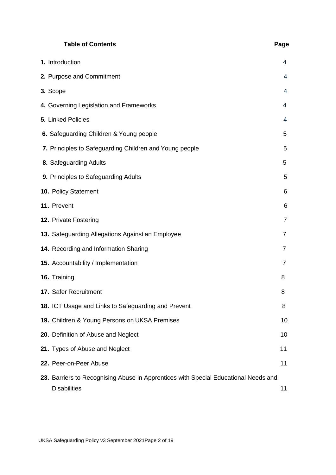|                    | <b>Table of Contents</b>                                                                                   | Page           |
|--------------------|------------------------------------------------------------------------------------------------------------|----------------|
| 1. Introduction    |                                                                                                            | 4              |
|                    | 2. Purpose and Commitment                                                                                  | 4              |
| 3. Scope           |                                                                                                            | 4              |
|                    | 4. Governing Legislation and Frameworks                                                                    | 4              |
| 5. Linked Policies |                                                                                                            | $\overline{4}$ |
|                    | 6. Safeguarding Children & Young people                                                                    | 5              |
|                    | 7. Principles to Safeguarding Children and Young people                                                    | 5              |
|                    | 8. Safeguarding Adults                                                                                     | 5              |
|                    | 9. Principles to Safeguarding Adults                                                                       | 5              |
|                    | <b>10. Policy Statement</b>                                                                                | 6              |
| 11. Prevent        |                                                                                                            | 6              |
|                    | 12. Private Fostering                                                                                      | $\overline{7}$ |
|                    | 13. Safeguarding Allegations Against an Employee                                                           | $\overline{7}$ |
|                    | 14. Recording and Information Sharing                                                                      | $\overline{7}$ |
|                    | 15. Accountability / Implementation                                                                        | 7              |
| 16. Training       |                                                                                                            | 8              |
|                    | 17. Safer Recruitment                                                                                      | 8              |
|                    | 18. ICT Usage and Links to Safeguarding and Prevent                                                        | 8              |
|                    | 19. Children & Young Persons on UKSA Premises                                                              | 10             |
|                    | 20. Definition of Abuse and Neglect                                                                        | 10             |
|                    | 21. Types of Abuse and Neglect                                                                             | 11             |
|                    | 22. Peer-on-Peer Abuse                                                                                     | 11             |
|                    | 23. Barriers to Recognising Abuse in Apprentices with Special Educational Needs and<br><b>Disabilities</b> | 11             |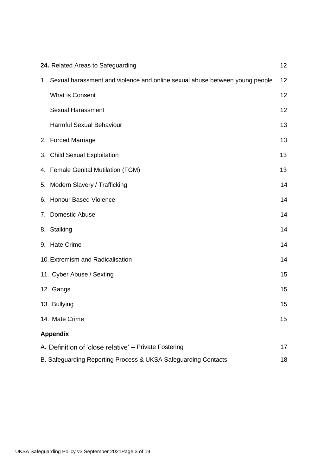| 24. Related Areas to Safeguarding                                              | 12 |  |
|--------------------------------------------------------------------------------|----|--|
| 1. Sexual harassment and violence and online sexual abuse between young people | 12 |  |
| <b>What is Consent</b>                                                         | 12 |  |
| <b>Sexual Harassment</b>                                                       | 12 |  |
| <b>Harmful Sexual Behaviour</b>                                                | 13 |  |
| 2. Forced Marriage                                                             | 13 |  |
| 3. Child Sexual Exploitation                                                   | 13 |  |
| 4. Female Genital Mutilation (FGM)                                             | 13 |  |
| 5. Modern Slavery / Trafficking                                                | 14 |  |
| 6. Honour Based Violence                                                       | 14 |  |
| 7. Domestic Abuse                                                              | 14 |  |
| 8. Stalking                                                                    | 14 |  |
| 9. Hate Crime                                                                  | 14 |  |
| 10. Extremism and Radicalisation                                               | 14 |  |
| 11. Cyber Abuse / Sexting                                                      | 15 |  |
| 12. Gangs                                                                      | 15 |  |
| 13. Bullying                                                                   | 15 |  |
| 14. Mate Crime                                                                 | 15 |  |
| <b>Appendix</b>                                                                |    |  |
| A. Definition of 'close relative' - Private Fostering                          | 17 |  |
| B. Safeguarding Reporting Process & UKSA Safeguarding Contacts                 |    |  |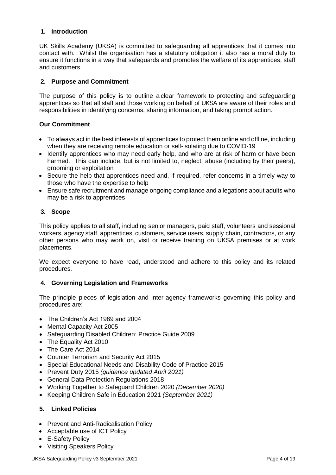#### <span id="page-3-0"></span>**1. Introduction**

UK Skills Academy (UKSA) is committed to safeguarding all apprentices that it comes into contact with. Whilst the organisation has a statutory obligation it also has a moral duty to ensure it functions in a way that safeguards and promotes the welfare of its apprentices, staff and customers.

#### <span id="page-3-1"></span>**2. Purpose and Commitment**

The purpose of this policy is to outline a clear framework to protecting and safeguarding apprentices so that all staff and those working on behalf of UKSA are aware of their roles and responsibilities in identifying concerns, sharing information, and taking prompt action.

#### **Our Commitment**

- To always act in the best interests of apprentices to protect them online and offline, including when they are receiving remote education or self-isolating due to COVID-19
- Identify apprentices who may need early help, and who are at risk of harm or have been harmed. This can include, but is not limited to, neglect, abuse (including by their peers), grooming or exploitation
- Secure the help that apprentices need and, if required, refer concerns in a timely way to those who have the expertise to help
- Ensure safe recruitment and manage ongoing compliance and allegations about adults who may be a risk to apprentices

#### <span id="page-3-2"></span>**3. Scope**

This policy applies to all staff, including senior managers, paid staff, volunteers and sessional workers, agency staff, apprentices, customers, service users, supply chain, contractors, or any other persons who may work on, visit or receive training on UKSA premises or at work placements.

We expect everyone to have read, understood and adhere to this policy and its related procedures.

#### **4. Governing Legislation and Frameworks**

The principle pieces of legislation and inter-agency frameworks governing this policy and procedures are:

- The Children's Act 1989 and 2004
- Mental Capacity Act 2005
- Safeguarding Disabled Children: Practice Guide 2009
- The Equality Act 2010
- The Care Act 2014
- Counter Terrorism and Security Act 2015
- Special Educational Needs and Disability Code of Practice 2015
- Prevent Duty 2015 *(guidance updated April 2021)*
- General Data Protection Regulations 2018
- Working Together to Safeguard Children 2020 *(December 2020)*
- Keeping Children Safe in Education 2021 *(September 2021)*

#### **5. Linked Policies**

- Prevent and Anti-Radicalisation Policy
- Acceptable use of ICT Policy
- E-Safety Policy
- Visiting Speakers Policy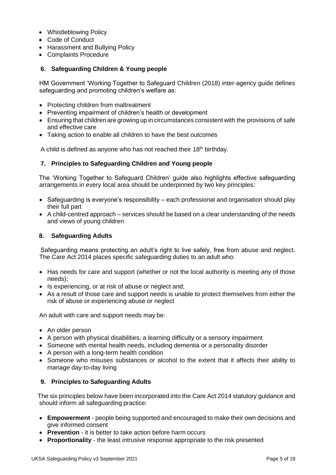- Whistleblowing Policy
- Code of Conduct
- Harassment and Bullying Policy
- Complaints Procedure

#### <span id="page-4-0"></span>**6. Safeguarding Children & Young people**

HM Government 'Working Together to Safeguard Children (2018) inter-agency guide defines safeguarding and promoting children's welfare as:

- Protecting children from maltreatment
- Preventing impairment of children's health or development
- Ensuring that children are growing up in circumstances consistent with the provisions of safe and effective care
- Taking action to enable all children to have the best outcomes

A child is defined as anyone who has not reached their 18<sup>th</sup> birthday.

#### **7. Principles to Safeguarding Children and Young people**

The 'Working Together to Safeguard Children' guide also highlights effective safeguarding arrangements in every local area should be underpinned by two key principles:

- Safeguarding is everyone's responsibility each professional and organisation should play their full part
- A child-centred approach services should be based on a clear understanding of the needs and views of young children

#### <span id="page-4-1"></span>**8. Safeguarding Adults**

Safeguarding means protecting an adult's right to live safely, free from abuse and neglect. The Care Act 2014 places specific safeguarding duties to an adult who:

- Has needs for care and support (whether or not the local authority is meeting any of those needs);
- Is experiencing, or at risk of abuse or neglect and;
- As a result of those care and support needs is unable to protect themselves from either the risk of abuse or experiencing abuse or neglect

An adult with care and support needs may be:

- An older person
- A person with physical disabilities, a learning difficulty or a sensory impairment
- Someone with mental health needs, including dementia or a personality disorder
- A person with a long-term health condition
- Someone who misuses substances or alcohol to the extent that it affects their ability to manage day-to-day living

#### **9. Principles to Safeguarding Adults**

The six principles below have been incorporated into the Care Act 2014 statutory guidance and should inform all safeguarding practice:

- **Empowerment** people being supported and encouraged to make their own decisions and give informed consent
- **Prevention** it is better to take action before harm occurs
- **Proportionality** the least intrusive response appropriate to the risk presented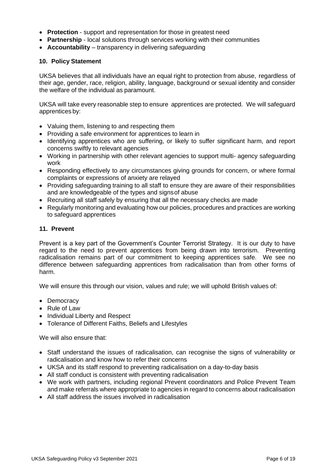- **Protection** support and representation for those in greatest need
- **Partnership** local solutions through services working with their communities
- **Accountability** transparency in delivering safeguarding

#### <span id="page-5-0"></span>**10. Policy Statement**

UKSA believes that all individuals have an equal right to protection from abuse, regardless of their age, gender, race, religion, ability, language, background or sexual identity and consider the welfare of the individual as paramount.

UKSA will take every reasonable step to ensure apprentices are protected. We will safeguard apprentices by:

- Valuing them, listening to and respecting them
- Providing a safe environment for apprentices to learn in
- Identifying apprentices who are suffering, or likely to suffer significant harm, and report concerns swiftly to relevant agencies
- Working in partnership with other relevant agencies to support multi- agency safeguarding work
- Responding effectively to any circumstances giving grounds for concern, or where formal complaints or expressions of anxiety are relayed
- Providing safeguarding training to all staff to ensure they are aware of their responsibilities and are knowledgeable of the types and signsof abuse
- Recruiting all staff safely by ensuring that all the necessary checks are made
- Regularly monitoring and evaluating how our policies, procedures and practices are working to safeguard apprentices

#### <span id="page-5-1"></span>**11. Prevent**

Prevent is a key part of the Government's Counter Terrorist Strategy. It is our duty to have regard to the need to prevent apprentices from being drawn into terrorism. Preventing radicalisation remains part of our commitment to keeping apprentices safe. We see no difference between safeguarding apprentices from radicalisation than from other forms of harm.

We will ensure this through our vision, values and rule; we will uphold British values of:

- Democracy
- Rule of Law
- Individual Liberty and Respect
- Tolerance of Different Faiths, Beliefs and Lifestyles

We will also ensure that:

- Staff understand the issues of radicalisation, can recognise the signs of vulnerability or radicalisation and know how to refer their concerns
- UKSA and its staff respond to preventing radicalisation on a day-to-day basis
- All staff conduct is consistent with preventing radicalisation
- We work with partners, including regional Prevent coordinators and Police Prevent Team and make referrals where appropriate to agencies in regard to concerns about radicalisation
- All staff address the issues involved in radicalisation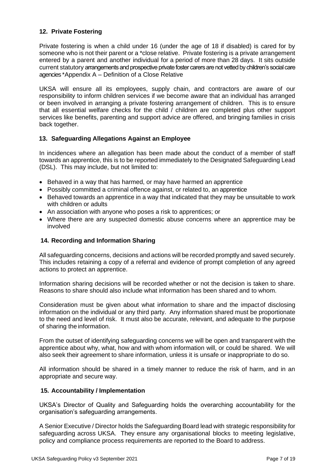#### <span id="page-6-0"></span>**12. Private Fostering**

Private fostering is when a child under 16 (under the age of 18 if disabled) is cared for by someone who is not their parent or a \*close relative. Private fostering is a private arrangement entered by a parent and another individual for a period of more than 28 days. It sits outside current statutory arrangements and prospective private foster carers are not vetted by children's social care agencies \*Appendix A – Definition of a Close Relative

UKSA will ensure all its employees, supply chain, and contractors are aware of our responsibility to inform children services if we become aware that an individual has arranged or been involved in arranging a private fostering arrangement of children. This is to ensure that all essential welfare checks for the child / children are completed plus other support services like benefits, parenting and support advice are offered, and bringing families in crisis back together.

#### <span id="page-6-1"></span>**13. Safeguarding Allegations Against an Employee**

In incidences where an allegation has been made about the conduct of a member of staff towards an apprentice, this is to be reported immediately to the Designated Safeguarding Lead (DSL). This may include, but not limited to:

- Behaved in a way that has harmed, or may have harmed an apprentice
- Possibly committed a criminal offence against, or related to, an apprentice
- Behaved towards an apprentice in a way that indicated that they may be unsuitable to work with children or adults
- An association with anyone who poses a risk to apprentices; or
- Where there are any suspected domestic abuse concerns where an apprentice may be involved

#### <span id="page-6-2"></span>**14. Recording and Information Sharing**

All safeguarding concerns, decisions and actions will be recorded promptly and saved securely. This includes retaining a copy of a referral and evidence of prompt completion of any agreed actions to protect an apprentice.

Information sharing decisions will be recorded whether or not the decision is taken to share. Reasons to share should also include what information has been shared and to whom.

Consideration must be given about what information to share and the impact of disclosing information on the individual or any third party. Any information shared must be proportionate to the need and level of risk. It must also be accurate, relevant, and adequate to the purpose of sharing the information.

From the outset of identifying safeguarding concerns we will be open and transparent with the apprentice about why, what, how and with whom information will, or could be shared. We will also seek their agreement to share information, unless it is unsafe or inappropriate to do so.

All information should be shared in a timely manner to reduce the risk of harm, and in an appropriate and secure way.

#### <span id="page-6-3"></span>**15. Accountability / Implementation**

UKSA's Director of Quality and Safeguarding holds the overarching accountability for the organisation's safeguarding arrangements.

A Senior Executive / Director holds the Safeguarding Board lead with strategic responsibility for safeguarding across UKSA. They ensure any organisational blocks to meeting legislative, policy and compliance process requirements are reported to the Board to address.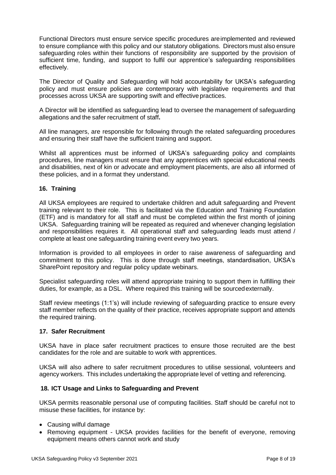Functional Directors must ensure service specific procedures areimplemented and reviewed to ensure compliance with this policy and our statutory obligations. Directors must also ensure safeguarding roles within their functions of responsibility are supported by the provision of sufficient time, funding, and support to fulfil our apprentice's safeguarding responsibilities effectively.

The Director of Quality and Safeguarding will hold accountability for UKSA's safeguarding policy and must ensure policies are contemporary with legislative requirements and that processes across UKSA are supporting swift and effective practices.

A Director will be identified as safeguarding lead to oversee the management of safeguarding allegations and the safer recruitment of staff**.**

All line managers, are responsible for following through the related safeguarding procedures and ensuring their staff have the sufficient training and support.

Whilst all apprentices must be informed of UKSA's safeguarding policy and complaints procedures, line managers must ensure that any apprentices with special educational needs and disabilities, next of kin or advocate and employment placements, are also all informed of these policies, and in a format they understand.

#### **16. Training**

All UKSA employees are required to undertake children and adult safeguarding and Prevent training relevant to their role. This is facilitated via the Education and Training Foundation (ETF) and is mandatory for all staff and must be completed within the first month of joining UKSA. Safeguarding training will be repeated as required and whenever changing legislation and responsibilities requires it. All operational staff and safeguarding leads must attend / complete at least one safeguarding training event every two years.

Information is provided to all employees in order to raise awareness of safeguarding and commitment to this policy. This is done through staff meetings, standardisation, UKSA's SharePoint repository and regular policy update webinars.

Specialist safeguarding roles will attend appropriate training to support them in fulfilling their duties, for example, as a DSL. Where required this training will be sourcedexternally.

Staff review meetings (1:1's) will include reviewing of safeguarding practice to ensure every staff member reflects on the quality of their practice, receives appropriate support and attends the required training.

#### <span id="page-7-0"></span>**17. Safer Recruitment**

UKSA have in place safer recruitment practices to ensure those recruited are the best candidates for the role and are suitable to work with apprentices.

UKSA will also adhere to safer recruitment procedures to utilise sessional, volunteers and agency workers. This includes undertaking the appropriate level of vetting and referencing.

#### **18. ICT Usage and Links to Safeguarding and Prevent**

UKSA permits reasonable personal use of computing facilities. Staff should be careful not to misuse these facilities, for instance by:

- Causing wilful damage
- Removing equipment UKSA provides facilities for the benefit of everyone, removing equipment means others cannot work and study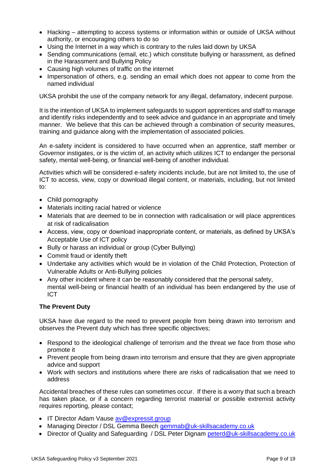- Hacking attempting to access systems or information within or outside of UKSA without authority, or encouraging others to do so
- Using the Internet in a way which is contrary to the rules laid down by UKSA
- Sending communications (email, etc.) which constitute bullying or harassment, as defined in the Harassment and Bullying Policy
- Causing high volumes of traffic on the internet
- Impersonation of others, e.g. sending an email which does not appear to come from the named individual

UKSA prohibit the use of the company network for any illegal, defamatory, indecent purpose.

It is the intention of UKSA to implement safeguards to support apprentices and staff to manage and identify risks independently and to seek advice and guidance in an appropriate and timely manner. We believe that this can be achieved through a combination of security measures, training and guidance along with the implementation of associated policies.

An e-safety incident is considered to have occurred when an apprentice, staff member or Governor instigates, or is the victim of, an activity which utilizes ICT to endanger the personal safety, mental well-being, or financial well-being of another individual.

Activities which will be considered e-safety incidents include, but are not limited to, the use of ICT to access, view, copy or download illegal content, or materials, including, but not limited to:

- Child pornography
- Materials inciting racial hatred or violence
- Materials that are deemed to be in connection with radicalisation or will place apprentices at risk of radicalisation
- Access, view, copy or download inappropriate content, or materials, as defined by UKSA's Acceptable Use of ICT policy
- Bully or harass an individual or group (Cyber Bullying)
- Commit fraud or identify theft
- Undertake any activities which would be in violation of the Child Protection, Protection of Vulnerable Adults or Anti-Bullying policies
- Any other incident where it can be reasonably considered that the personal safety, mental well-being or financial health of an individual has been endangered by the use of ICT

#### **The Prevent Duty**

UKSA have due regard to the need to prevent people from being drawn into terrorism and observes the Prevent duty which has three specific objectives;

- Respond to the ideological challenge of terrorism and the threat we face from those who promote it
- Prevent people from being drawn into terrorism and ensure that they are given appropriate advice and support
- Work with sectors and institutions where there are risks of radicalisation that we need to address

Accidental breaches of these rules can sometimes occur. If there is a worry that such a breach has taken place, or if a concern regarding terrorist material or possible extremist activity requires reporting, please contact;

- IT Director Adam Vause [av@expressit.group](mailto:av@expressit.group)
- Managing Director / DSL Gemma Beech [gemmab@uk-skillsacademy.co.uk](mailto:gemmab@uk-skillsacademy.co.uk)
- Director of Quality and Safeguarding / DSL Peter Dignam [peterd@uk-skillsacademy.co.uk](mailto:peterd@uk-skillsacademy.co.uk)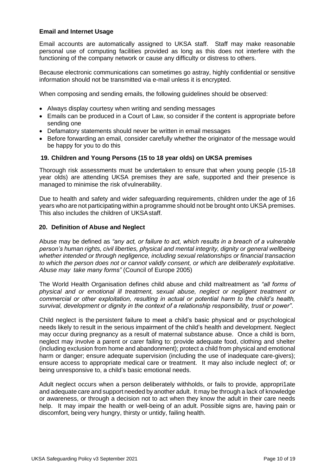#### **Email and Internet Usage**

Email accounts are automatically assigned to UKSA staff. Staff may make reasonable personal use of computing facilities provided as long as this does not interfere with the functioning of the company network or cause any difficulty or distress to others.

Because electronic communications can sometimes go astray, highly confidential or sensitive information should not be transmitted via e-mail unless it is encrypted.

When composing and sending emails, the following guidelines should be observed:

- Always display courtesy when writing and sending messages
- Emails can be produced in a Court of Law, so consider if the content is appropriate before sending one
- Defamatory statements should never be written in email messages
- Before forwarding an email, consider carefully whether the originator of the message would be happy for you to do this

#### **19. Children and Young Persons (15 to 18 year olds) on UKSA premises**

Thorough risk assessments must be undertaken to ensure that when young people (15-18 year olds) are attending UKSA premises they are safe, supported and their presence is managed to minimise the risk ofvulnerability.

Due to health and safety and wider safeguarding requirements, children under the age of 16 years who are not participating within a programme should not be brought onto UKSA premises. This also includes the children of UKSAstaff.

#### <span id="page-9-0"></span>**20. Definition of Abuse and Neglect**

Abuse may be defined as *"any act, or failure to act, which results in a breach of a vulnerable person's human rights, civil liberties, physical and mental integrity, dignity or general wellbeing whether intended or through negligence, including sexual relationships or financial transaction to which the person does not or cannot validly consent, or which are deliberately exploitative. Abuse may take many forms"* (Council of Europe 2005)

The World Health Organisation defines child abuse and child maltreatment as *"all forms of physical and or emotional ill treatment, sexual abuse, neglect or negligent treatment or commercial or other exploitation, resulting in actual or potential harm to the child's health, survival, development or dignity in the context of a relationship responsibility, trust or power"*.

Child neglect is the persistent failure to meet a child's basic physical and or psychological needs likely to result in the serious impairment of the child's health and development. Neglect may occur during pregnancy as a result of maternal substance abuse. Once a child is born, neglect may involve a parent or carer failing to: provide adequate food, clothing and shelter (including exclusion from home and abandonment); protect a child from physical and emotional harm or danger; ensure adequate supervision (including the use of inadequate care-givers); ensure access to appropriate medical care or treatment. It may also include neglect of; or being unresponsive to, a child's basic emotional needs.

Adult neglect occurs when a person deliberately withholds, or fails to provide, appropri1ate and adequate care and support needed by another adult. It may be through a lack of knowledge or awareness, or through a decision not to act when they know the adult in their care needs help. It may impair the health or well-being of an adult. Possible signs are, having pain or discomfort, being very hungry, thirsty or untidy, failing health.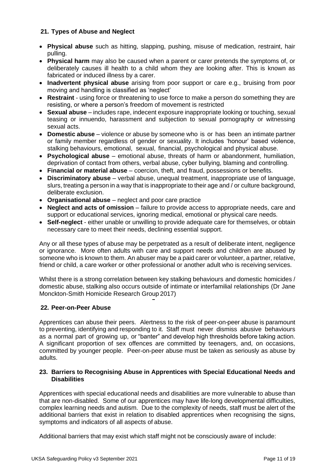#### <span id="page-10-0"></span>**21. Types of Abuse and Neglect**

- **Physical abuse** such as hitting, slapping, pushing, misuse of medication, restraint, hair pulling.
- **Physical harm** may also be caused when a parent or carer pretends the symptoms of, or deliberately causes ill health to a child whom they are looking after. This is known as fabricated or induced illness by a carer.
- **Inadvertent physical abuse** arising from poor support or care e.g., bruising from poor moving and handling is classified as 'neglect'
- **Restraint** using force or threatening to use force to make a person do something they are resisting, or where a person's freedom of movement is restricted
- **Sexual abuse**  includes rape, indecent exposure inappropriate looking or touching, sexual teasing or innuendo, harassment and subjection to sexual pornography or witnessing sexual acts.
- **Domestic abuse** violence or abuse by someone who is or has been an intimate partner or family member regardless of gender or sexuality. It includes 'honour' based violence, stalking behaviours, emotional, sexual, financial, psychological and physical abuse.
- **Psychological abuse**  emotional abuse, threats of harm or abandonment, humiliation, deprivation of contact from others, verbal abuse, cyber bullying, blaming and controlling.
- **Financial or material abuse**  coercion, theft, and fraud, possessions or benefits.
- **Discriminatory abuse**  verbal abuse, unequal treatment, inappropriate use of language, slurs, treating a person in a way that is inappropriate to their age and / or culture background, deliberate exclusion.
- **Organisational abuse** neglect and poor care practice
- **Neglect and acts of omission** failure to provide access to appropriate needs, care and support or educational services, ignoring medical, emotional or physical care needs.
- **Self-neglect** either unable or unwilling to provide adequate care for themselves, or obtain necessary care to meet their needs, declining essential support.

Any or all these types of abuse may be perpetrated as a result of deliberate intent, negligence or ignorance. More often adults with care and support needs and children are abused by someone who is known to them. An abuser may be a paid carer or volunteer, a partner, relative, friend or child, a care worker or other professional or another adult who is receiving services.

Whilst there is a strong correlation between key stalking behaviours and domestic homicides / domestic abuse, stalking also occurs outside of intimate or interfamilial relationships (Dr Jane Monckton-Smith Homicide Research Group 2017)

#### <span id="page-10-1"></span>**22. Peer-on-Peer Abuse**

Apprentices can abuse their peers. Alertness to the risk of peer-on-peer abuse is paramount to preventing, identifying and responding to it. Staff must never dismiss abusive behaviours as a normal part of growing up, or "banter" and develop high thresholds before taking action. A significant proportion of sex offences are committed by teenagers, and, on occasions, committed by younger people. Peer-on-peer abuse must be taken as seriously as abuse by adults.

#### <span id="page-10-2"></span>**23. Barriers to Recognising Abuse in Apprentices with Special Educational Needs and Disabilities**

Apprentices with special educational needs and disabilities are more vulnerable to abuse than that are non-disabled. Some of our apprentices may have life-long developmental difficulties, complex learning needs and autism. Due to the complexity of needs, staff must be alert of the additional barriers that exist in relation to disabled apprentices when recognising the signs, symptoms and indicators of all aspects of abuse.

Additional barriers that may exist which staff might not be consciously aware of include: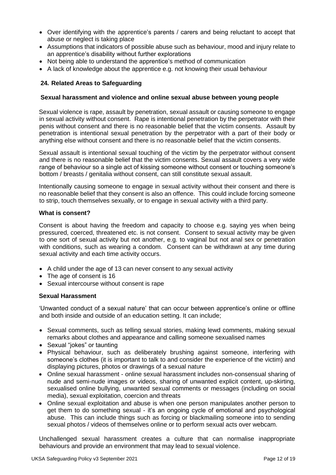- Over identifying with the apprentice's parents / carers and being reluctant to accept that abuse or neglect is taking place
- Assumptions that indicators of possible abuse such as behaviour, mood and injury relate to an apprentice's disability without further explorations
- Not being able to understand the apprentice's method of communication
- <span id="page-11-0"></span>• A lack of knowledge about the apprentice e.g. not knowing their usual behaviour

#### **24. Related Areas to Safeguarding**

#### <span id="page-11-1"></span>**Sexual harassment and violence and online sexual abuse between young people**

Sexual violence is rape, assault by penetration, sexual assault or causing someone to engage in sexual activity without consent. Rape is intentional penetration by the perpetrator with their penis without consent and there is no reasonable belief that the victim consents. Assault by penetration is intentional sexual penetration by the perpetrator with a part of their body or anything else without consent and there is no reasonable belief that the victim consents.

Sexual assault is intentional sexual touching of the victim by the perpetrator without consent and there is no reasonable belief that the victim consents. Sexual assault covers a very wide range of behaviour so a single act of kissing someone without consent or touching someone's bottom / breasts / genitalia without consent, can still constitute sexual assault.

Intentionally causing someone to engage in sexual activity without their consent and there is no reasonable belief that they consent is also an offence. This could include forcing someone to strip, touch themselves sexually, or to engage in sexual activity with a third party.

#### **What is consent?**

Consent is about having the freedom and capacity to choose e.g. saying yes when being pressured, coerced, threatened etc. is not consent. Consent to sexual activity may be given to one sort of sexual activity but not another, e.g. to vaginal but not anal sex or penetration with conditions, such as wearing a condom. Consent can be withdrawn at any time during sexual activity and each time activity occurs.

- A child under the age of 13 can never consent to any sexual activity
- The age of consent is 16
- Sexual intercourse without consent is rape

#### **Sexual Harassment**

'Unwanted conduct of a sexual nature' that can occur between apprentice's online or offline and both inside and outside of an education setting. It can include;

- Sexual comments, such as telling sexual stories, making lewd comments, making sexual remarks about clothes and appearance and calling someone sexualised names
- Sexual "jokes" or taunting
- Physical behaviour, such as deliberately brushing against someone, interfering with someone's clothes (it is important to talk to and consider the experience of the victim) and displaying pictures, photos or drawings of a sexual nature
- Online sexual harassment online sexual harassment includes non-consensual sharing of nude and semi-nude images or videos, sharing of unwanted explicit content, up-skirting, sexualised online bullying, unwanted sexual comments or messages (including on social media), sexual exploitation, coercion and threats
- Online sexual exploitation and abuse is when one person manipulates another person to get them to do something sexual - it's an ongoing cycle of emotional and psychological abuse. This can include things such as forcing or blackmailing someone into to sending sexual photos / videos of themselves online or to perform sexual acts over webcam.

Unchallenged sexual harassment creates a culture that can normalise inappropriate behaviours and provide an environment that may lead to sexual violence.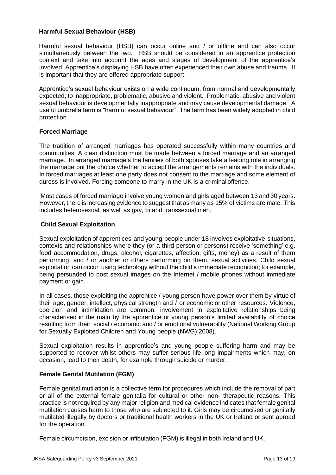#### **Harmful Sexual Behaviour (HSB)**

Harmful sexual behaviour (HSB) can occur online and / or offline and can also occur simultaneously between the two. HSB should be considered in an apprentice protection context and take into account the ages and stages of development of the apprentice's involved. Apprentice's displaying HSB have often experienced their own abuse and trauma. It is important that they are offered appropriate support.

Apprentice's sexual behaviour exists on a wide continuum, from normal and developmentally expected; to inappropriate, problematic, abusive and violent. Problematic, abusive and violent sexual behaviour is developmentally inappropriate and may cause developmental damage. A useful umbrella term is "harmful sexual behaviour". The term has been widely adopted in child protection.

#### **Forced Marriage**

The tradition of arranged marriages has operated successfully within many countries and communities. A clear distinction must be made between a forced marriage and an arranged marriage. In arranged marriage's the families of both spouses take a leading role in arranging the marriage but the choice whether to accept the arrangements remains with the individuals. In forced marriages at least one party does not consent to the marriage and some element of duress is involved. Forcing someone to marry in the UK is a criminal offence.

Most cases of forced marriage involve young women and girls aged between 13 and 30 years. However, there is increasing evidence to suggest that as many as 15% of victims are male. This includes heterosexual, as well as gay, bi and transsexual men.

#### <span id="page-12-0"></span>**Child Sexual Exploitation**

Sexual exploitation of apprentices and young people under 18 involves exploitative situations, contexts and relationships where they (or a third person or persons) receive 'something' e.g. food accommodation, drugs, alcohol, cigarettes, affection, gifts, money) as a result of them performing, and / or another or others performing on them, sexual activities. Child sexual exploitation can occur using technology without the child's immediate recognition; for example, being persuaded to post sexual images on the Internet / mobile phones without immediate payment or gain.

In all cases, those exploiting the apprentice / young person have power over them by virtue of their age, gender, intellect, physical strength and / or economic or other resources. Violence, coercion and intimidation are common, involvement in exploitative relationships being characterised in the main by the apprentice or young person's limited availability of choice resulting from their social / economic and / or emotional vulnerability (National Working Group for Sexually Exploited Children and Young people (NWG) 2008).

Sexual exploitation results in apprentice's and young people suffering harm and may be supported to recover whilst others may suffer serious life-long impairments which may, on occasion, lead to their death, for example through suicide or murder.

#### <span id="page-12-1"></span>**Female Genital Mutilation (FGM)**

Female genital mutilation is a collective term for procedures which include the removal of part or all of the external female genitalia for cultural or other non- therapeutic reasons. This practice is not required by any major religion and medical evidence indicates that female genital mutilation causes harm to those who are subjected to it. Girls may be circumcised or genitally mutilated illegally by doctors or traditional health workers in the UK or Ireland or sent abroad for the operation.

Female circumcision, excision or infibulation (FGM) is illegal in both Ireland and UK.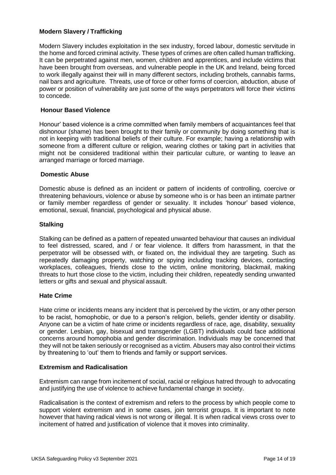#### <span id="page-13-0"></span>**Modern Slavery / Trafficking**

Modern Slavery includes exploitation in the sex industry, forced labour, domestic servitude in the home and forced criminal activity. These types of crimes are often called human trafficking. It can be perpetrated against men, women, children and apprentices, and include victims that have been brought from overseas, and vulnerable people in the UK and Ireland, being forced to work illegally against their will in many different sectors, including brothels, cannabis farms, nail bars and agriculture. Threats, use of force or other forms of coercion, abduction, abuse of power or position of vulnerability are just some of the ways perpetrators will force their victims to concede.

#### <span id="page-13-1"></span>**Honour Based Violence**

Honour' based violence is a crime committed when family members of acquaintances feel that dishonour (shame) has been brought to their family or community by doing something that is not in keeping with traditional beliefs of their culture. For example; having a relationship with someone from a different culture or religion, wearing clothes or taking part in activities that might not be considered traditional within their particular culture, or wanting to leave an arranged marriage or forced marriage.

#### <span id="page-13-2"></span>**Domestic Abuse**

Domestic abuse is defined as an incident or pattern of incidents of controlling, coercive or threatening behaviours, violence or abuse by someone who is or has been an intimate partner or family member regardless of gender or sexuality. It includes 'honour' based violence, emotional, sexual, financial, psychological and physical abuse.

#### <span id="page-13-3"></span>**Stalking**

Stalking can be defined as a pattern of repeated unwanted behaviour that causes an individual to feel distressed, scared, and / or fear violence. It differs from harassment, in that the perpetrator will be obsessed with, or fixated on, the individual they are targeting. Such as repeatedly damaging property, watching or spying including tracking devices, contacting workplaces, colleagues, friends close to the victim, online monitoring, blackmail, making threats to hurt those close to the victim, including their children, repeatedly sending unwanted letters or gifts and sexual and physical assault.

#### <span id="page-13-4"></span>**Hate Crime**

Hate crime or incidents means any incident that is perceived by the victim, or any other person to be racist, homophobic, or due to a person's religion, beliefs, gender identity or disability. Anyone can be a victim of hate crime or incidents regardless of race, age, disability, sexuality or gender. Lesbian, gay, bisexual and transgender (LGBT) individuals could face additional concerns around homophobia and gender discrimination. Individuals may be concerned that they will not be taken seriously or recognised as a victim. Abusers may also control their victims by threatening to 'out' them to friends and family or support services.

#### <span id="page-13-5"></span>**Extremism and Radicalisation**

Extremism can range from incitement of social, racial or religious hatred through to advocating and justifying the use of violence to achieve fundamental change in society.

Radicalisation is the context of extremism and refers to the process by which people come to support violent extremism and in some cases, join terrorist groups. It is important to note however that having radical views is not wrong or illegal. It is when radical views cross over to incitement of hatred and justification of violence that it moves into criminality.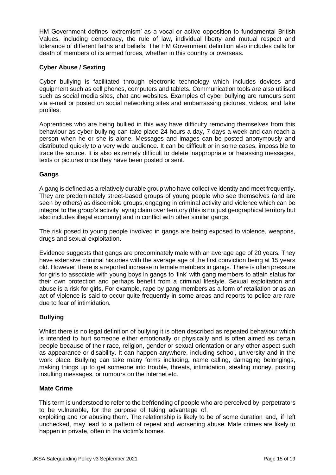HM Government defines 'extremism' as a vocal or active opposition to fundamental British Values, including democracy, the rule of law, individual liberty and mutual respect and tolerance of different faiths and beliefs. The HM Government definition also includes calls for death of members of its armed forces, whether in this country or overseas.

#### <span id="page-14-0"></span>**Cyber Abuse / Sexting**

Cyber bullying is facilitated through electronic technology which includes devices and equipment such as cell phones, computers and tablets. Communication tools are also utilised such as social media sites, chat and websites. Examples of cyber bullying are rumours sent via e-mail or posted on social networking sites and embarrassing pictures, videos, and fake profiles.

Apprentices who are being bullied in this way have difficulty removing themselves from this behaviour as cyber bullying can take place 24 hours a day, 7 days a week and can reach a person when he or she is alone. Messages and images can be posted anonymously and distributed quickly to a very wide audience. It can be difficult or in some cases, impossible to trace the source. It is also extremely difficult to delete inappropriate or harassing messages, texts or pictures once they have been posted or sent.

#### <span id="page-14-1"></span>**Gangs**

A gang is defined as a relatively durable group who have collective identity and meet frequently. They are predominately street-based groups of young people who see themselves (and are seen by others) as discernible groups, engaging in criminal activity and violence which can be integral to the group's activity laying claim over territory (this is not just geographical territory but also includes illegal economy) and in conflict with other similar gangs.

The risk posed to young people involved in gangs are being exposed to violence, weapons, drugs and sexual exploitation.

Evidence suggests that gangs are predominately male with an average age of 20 years. They have extensive criminal histories with the average age of the first conviction being at 15 years old. However, there is a reported increase in female members in gangs. There is often pressure for girls to associate with young boys in gangs to 'link' with gang members to attain status for their own protection and perhaps benefit from a criminal lifestyle. Sexual exploitation and abuse is a risk for girls. For example, rape by gang members as a form of retaliation or as an act of violence is said to occur quite frequently in some areas and reports to police are rare due to fear of intimidation.

#### <span id="page-14-2"></span>**Bullying**

Whilst there is no legal definition of bullying it is often described as repeated behaviour which is intended to hurt someone either emotionally or physically and is often aimed as certain people because of their race, religion, gender or sexual orientation or any other aspect such as appearance or disability. It can happen anywhere, including school, university and in the work place. Bullying can take many forms including, name calling, damaging belongings, making things up to get someone into trouble, threats, intimidation, stealing money, posting insulting messages, or rumours on the internet etc.

#### <span id="page-14-3"></span>**Mate Crime**

This term is understood to refer to the befriending of people who are perceived by perpetrators to be vulnerable, for the purpose of taking advantage of,

exploiting and /or abusing them. The relationship is likely to be of some duration and, if left unchecked, may lead to a pattern of repeat and worsening abuse. Mate crimes are likely to happen in private, often in the victim's homes.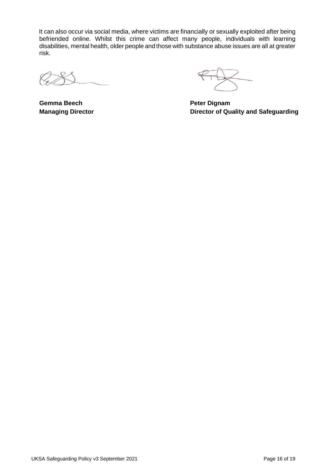It can also occur via social media, where victims are financially or sexually exploited after being befriended online. Whilst this crime can affect many people, individuals with learning disabilities, mental health, older people and those with substance abuse issues are all at greater risk.

**Gemma Beech Peter Dignam** 

**Managing Director Director of Quality and Safeguarding**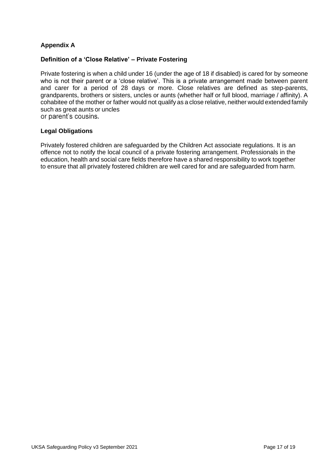#### **Appendix A**

#### **Definition of a 'Close Relative' – Private Fostering**

Private fostering is when a child under 16 (under the age of 18 if disabled) is cared for by someone who is not their parent or a 'close relative'. This is a private arrangement made between parent and carer for a period of 28 days or more. Close relatives are defined as step-parents, grandparents, brothers or sisters, uncles or aunts (whether half or full blood, marriage / affinity). A cohabitee of the mother or father would not qualify as a close relative, neither would extended family such as great aunts or uncles<br>or parent's cousins.

#### **Legal Obligations**

Privately fostered children are safeguarded by the Children Act associate regulations. It is an offence not to notify the local council of a private fostering arrangement. Professionals in the education, health and social care fields therefore have a shared responsibility to work together to ensure that all privately fostered children are well cared for and are safeguarded from harm.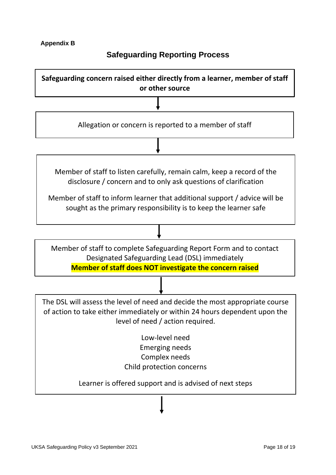#### **Appendix B**

## **Safeguarding Reporting Process**